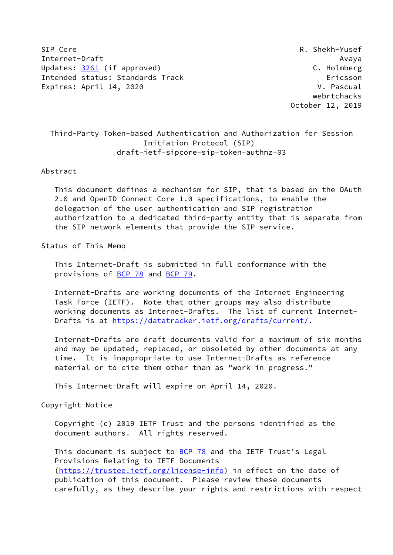SIP Core R. Shekh-Yusef Internet-Draft Avaya Updates: [3261](https://datatracker.ietf.org/doc/pdf/rfc3261) (if approved) C. Holmberg Intended status: Standards Track Ericsson Expires: April 14, 2020 V. Pascual

 webrtchacks October 12, 2019

# Third-Party Token-based Authentication and Authorization for Session Initiation Protocol (SIP) draft-ietf-sipcore-sip-token-authnz-03

### Abstract

 This document defines a mechanism for SIP, that is based on the OAuth 2.0 and OpenID Connect Core 1.0 specifications, to enable the delegation of the user authentication and SIP registration authorization to a dedicated third-party entity that is separate from the SIP network elements that provide the SIP service.

# Status of This Memo

 This Internet-Draft is submitted in full conformance with the provisions of [BCP 78](https://datatracker.ietf.org/doc/pdf/bcp78) and [BCP 79](https://datatracker.ietf.org/doc/pdf/bcp79).

 Internet-Drafts are working documents of the Internet Engineering Task Force (IETF). Note that other groups may also distribute working documents as Internet-Drafts. The list of current Internet- Drafts is at<https://datatracker.ietf.org/drafts/current/>.

 Internet-Drafts are draft documents valid for a maximum of six months and may be updated, replaced, or obsoleted by other documents at any time. It is inappropriate to use Internet-Drafts as reference material or to cite them other than as "work in progress."

This Internet-Draft will expire on April 14, 2020.

Copyright Notice

 Copyright (c) 2019 IETF Trust and the persons identified as the document authors. All rights reserved.

This document is subject to **[BCP 78](https://datatracker.ietf.org/doc/pdf/bcp78)** and the IETF Trust's Legal Provisions Relating to IETF Documents [\(https://trustee.ietf.org/license-info](https://trustee.ietf.org/license-info)) in effect on the date of publication of this document. Please review these documents carefully, as they describe your rights and restrictions with respect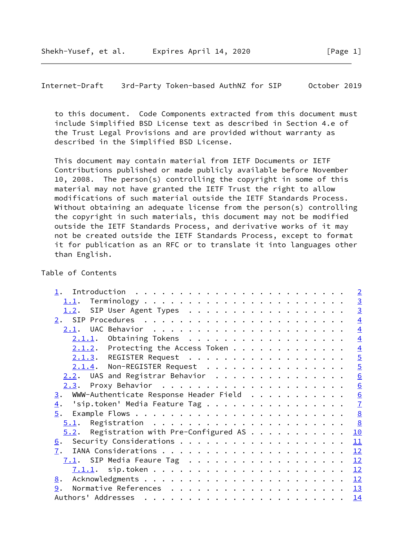<span id="page-1-0"></span>Internet-Draft 3rd-Party Token-based AuthNZ for SIP October 2019

 to this document. Code Components extracted from this document must include Simplified BSD License text as described in Section 4.e of the Trust Legal Provisions and are provided without warranty as described in the Simplified BSD License.

 This document may contain material from IETF Documents or IETF Contributions published or made publicly available before November 10, 2008. The person(s) controlling the copyright in some of this material may not have granted the IETF Trust the right to allow modifications of such material outside the IETF Standards Process. Without obtaining an adequate license from the person(s) controlling the copyright in such materials, this document may not be modified outside the IETF Standards Process, and derivative works of it may not be created outside the IETF Standards Process, except to format it for publication as an RFC or to translate it into languages other than English.

### Table of Contents

|                  |                                                   | $\overline{2}$  |
|------------------|---------------------------------------------------|-----------------|
|                  |                                                   | $\frac{3}{3}$   |
|                  | 1.2. SIP User Agent Types                         |                 |
|                  |                                                   | $\overline{4}$  |
|                  |                                                   | $\overline{4}$  |
|                  | $2.1.1.$ Obtaining Tokens                         | $\overline{4}$  |
|                  | $2.1.2$ . Protecting the Access Token             | $\overline{4}$  |
|                  | 2.1.3. REGISTER Request                           | $\overline{5}$  |
|                  | 2.1.4. Non-REGISTER Request                       | $\overline{5}$  |
|                  | 2.2. UAS and Registrar Behavior                   | $\underline{6}$ |
|                  |                                                   | $\underline{6}$ |
| 3.               | WWW-Authenticate Response Header Field            | $\underline{6}$ |
| $\overline{4}$ . | 'sip.token' Media Feature Tag                     | $\overline{1}$  |
| 5.               |                                                   | $\underline{8}$ |
|                  | $\frac{8}{2}$                                     |                 |
|                  | Registration with Pre-Configured AS<br>10<br>5.2. |                 |
| <u>6</u> .       | 11                                                |                 |
| 7.               | 12                                                |                 |
|                  | $7.1$ . SIP Media Feaure Tag<br>12                |                 |
|                  | 12                                                |                 |
| 8.               | 12                                                |                 |
| 9.               | <u> 13</u>                                        |                 |
|                  | 14                                                |                 |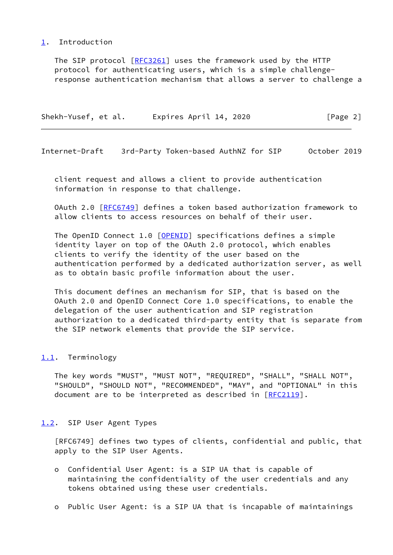## <span id="page-2-0"></span>[1](#page-2-0). Introduction

 The SIP protocol [\[RFC3261](https://datatracker.ietf.org/doc/pdf/rfc3261)] uses the framework used by the HTTP protocol for authenticating users, which is a simple challenge response authentication mechanism that allows a server to challenge a

| Shekh-Yusef, et al. |  | Expires April 14, 2020 | [Page 2] |  |
|---------------------|--|------------------------|----------|--|
|                     |  |                        |          |  |

<span id="page-2-2"></span>Internet-Draft 3rd-Party Token-based AuthNZ for SIP October 2019

 client request and allows a client to provide authentication information in response to that challenge.

OAuth 2.0 [[RFC6749](https://datatracker.ietf.org/doc/pdf/rfc6749)] defines a token based authorization framework to allow clients to access resources on behalf of their user.

The OpenID Connect 1.0 [\[OPENID](#page-13-3)] specifications defines a simple identity layer on top of the OAuth 2.0 protocol, which enables clients to verify the identity of the user based on the authentication performed by a dedicated authorization server, as well as to obtain basic profile information about the user.

 This document defines an mechanism for SIP, that is based on the OAuth 2.0 and OpenID Connect Core 1.0 specifications, to enable the delegation of the user authentication and SIP registration authorization to a dedicated third-party entity that is separate from the SIP network elements that provide the SIP service.

# <span id="page-2-1"></span>[1.1](#page-2-1). Terminology

 The key words "MUST", "MUST NOT", "REQUIRED", "SHALL", "SHALL NOT", "SHOULD", "SHOULD NOT", "RECOMMENDED", "MAY", and "OPTIONAL" in this document are to be interpreted as described in [\[RFC2119](https://datatracker.ietf.org/doc/pdf/rfc2119)].

# <span id="page-2-3"></span>[1.2](#page-2-3). SIP User Agent Types

 [RFC6749] defines two types of clients, confidential and public, that apply to the SIP User Agents.

- o Confidential User Agent: is a SIP UA that is capable of maintaining the confidentiality of the user credentials and any tokens obtained using these user credentials.
- o Public User Agent: is a SIP UA that is incapable of maintainings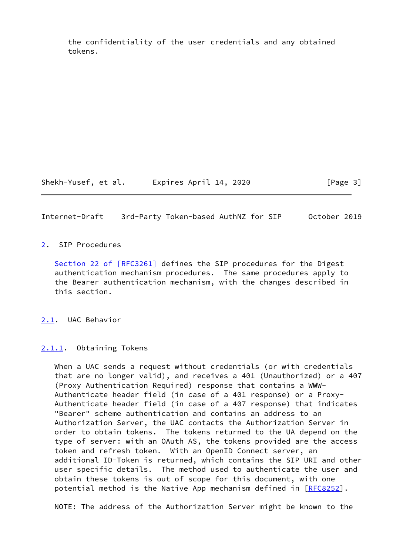the confidentiality of the user credentials and any obtained tokens.

Shekh-Yusef, et al. Expires April 14, 2020 [Page 3]

<span id="page-3-1"></span>Internet-Draft 3rd-Party Token-based AuthNZ for SIP October 2019

# <span id="page-3-0"></span>[2](#page-3-0). SIP Procedures

Section [22 of \[RFC3261\]](https://datatracker.ietf.org/doc/pdf/rfc3261#section-22) defines the SIP procedures for the Digest authentication mechanism procedures. The same procedures apply to the Bearer authentication mechanism, with the changes described in this section.

<span id="page-3-2"></span>[2.1](#page-3-2). UAC Behavior

<span id="page-3-3"></span>[2.1.1](#page-3-3). Obtaining Tokens

 When a UAC sends a request without credentials (or with credentials that are no longer valid), and receives a 401 (Unauthorized) or a 407 (Proxy Authentication Required) response that contains a WWW- Authenticate header field (in case of a 401 response) or a Proxy- Authenticate header field (in case of a 407 response) that indicates "Bearer" scheme authentication and contains an address to an Authorization Server, the UAC contacts the Authorization Server in order to obtain tokens. The tokens returned to the UA depend on the type of server: with an OAuth AS, the tokens provided are the access token and refresh token. With an OpenID Connect server, an additional ID-Token is returned, which contains the SIP URI and other user specific details. The method used to authenticate the user and obtain these tokens is out of scope for this document, with one potential method is the Native App mechanism defined in [\[RFC8252](https://datatracker.ietf.org/doc/pdf/rfc8252)].

NOTE: The address of the Authorization Server might be known to the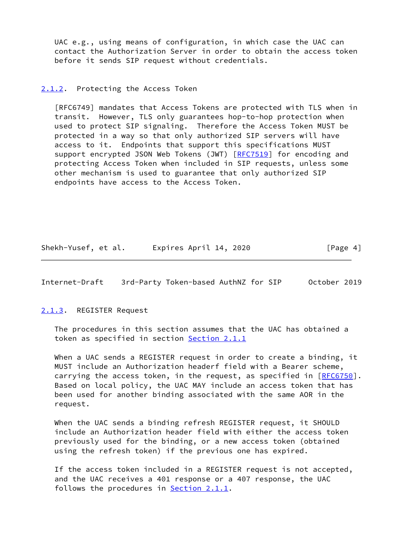UAC e.g., using means of configuration, in which case the UAC can contact the Authorization Server in order to obtain the access token before it sends SIP request without credentials.

#### <span id="page-4-0"></span>[2.1.2](#page-4-0). Protecting the Access Token

 [RFC6749] mandates that Access Tokens are protected with TLS when in transit. However, TLS only guarantees hop-to-hop protection when used to protect SIP signaling. Therefore the Access Token MUST be protected in a way so that only authorized SIP servers will have access to it. Endpoints that support this specifications MUST support encrypted JSON Web Tokens (JWT) [\[RFC7519](https://datatracker.ietf.org/doc/pdf/rfc7519)] for encoding and protecting Access Token when included in SIP requests, unless some other mechanism is used to guarantee that only authorized SIP endpoints have access to the Access Token.

Shekh-Yusef, et al. Expires April 14, 2020 [Page 4]

<span id="page-4-2"></span>Internet-Draft 3rd-Party Token-based AuthNZ for SIP October 2019

<span id="page-4-1"></span>[2.1.3](#page-4-1). REGISTER Request

 The procedures in this section assumes that the UAC has obtained a token as specified in section [Section 2.1.1](#page-3-3)

 When a UAC sends a REGISTER request in order to create a binding, it MUST include an Authorization headerf field with a Bearer scheme, carrying the access token, in the request, as specified in [[RFC6750\]](https://datatracker.ietf.org/doc/pdf/rfc6750). Based on local policy, the UAC MAY include an access token that has been used for another binding associated with the same AOR in the request.

 When the UAC sends a binding refresh REGISTER request, it SHOULD include an Authorization header field with either the access token previously used for the binding, or a new access token (obtained using the refresh token) if the previous one has expired.

 If the access token included in a REGISTER request is not accepted, and the UAC receives a 401 response or a 407 response, the UAC follows the procedures in [Section 2.1.1.](#page-3-3)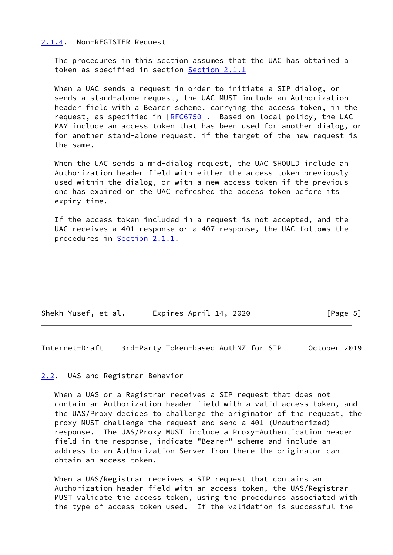#### <span id="page-5-0"></span>[2.1.4](#page-5-0). Non-REGISTER Request

 The procedures in this section assumes that the UAC has obtained a token as specified in section [Section 2.1.1](#page-3-3)

 When a UAC sends a request in order to initiate a SIP dialog, or sends a stand-alone request, the UAC MUST include an Authorization header field with a Bearer scheme, carrying the access token, in the request, as specified in [\[RFC6750](https://datatracker.ietf.org/doc/pdf/rfc6750)]. Based on local policy, the UAC MAY include an access token that has been used for another dialog, or for another stand-alone request, if the target of the new request is the same.

 When the UAC sends a mid-dialog request, the UAC SHOULD include an Authorization header field with either the access token previously used within the dialog, or with a new access token if the previous one has expired or the UAC refreshed the access token before its expiry time.

 If the access token included in a request is not accepted, and the UAC receives a 401 response or a 407 response, the UAC follows the procedures in [Section 2.1.1.](#page-3-3)

| Shekh-Yusef, et al. | Expires April 14, 2020 | [Page 5] |
|---------------------|------------------------|----------|
|---------------------|------------------------|----------|

<span id="page-5-2"></span>Internet-Draft 3rd-Party Token-based AuthNZ for SIP October 2019

#### <span id="page-5-1"></span>[2.2](#page-5-1). UAS and Registrar Behavior

 When a UAS or a Registrar receives a SIP request that does not contain an Authorization header field with a valid access token, and the UAS/Proxy decides to challenge the originator of the request, the proxy MUST challenge the request and send a 401 (Unauthorized) response. The UAS/Proxy MUST include a Proxy-Authentication header field in the response, indicate "Bearer" scheme and include an address to an Authorization Server from there the originator can obtain an access token.

 When a UAS/Registrar receives a SIP request that contains an Authorization header field with an access token, the UAS/Registrar MUST validate the access token, using the procedures associated with the type of access token used. If the validation is successful the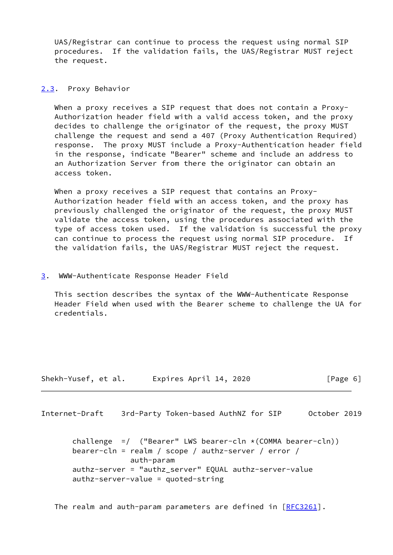UAS/Registrar can continue to process the request using normal SIP procedures. If the validation fails, the UAS/Registrar MUST reject the request.

## <span id="page-6-0"></span>[2.3](#page-6-0). Proxy Behavior

When a proxy receives a SIP request that does not contain a Proxy- Authorization header field with a valid access token, and the proxy decides to challenge the originator of the request, the proxy MUST challenge the request and send a 407 (Proxy Authentication Required) response. The proxy MUST include a Proxy-Authentication header field in the response, indicate "Bearer" scheme and include an address to an Authorization Server from there the originator can obtain an access token.

When a proxy receives a SIP request that contains an Proxy- Authorization header field with an access token, and the proxy has previously challenged the originator of the request, the proxy MUST validate the access token, using the procedures associated with the type of access token used. If the validation is successful the proxy can continue to process the request using normal SIP procedure. If the validation fails, the UAS/Registrar MUST reject the request.

### <span id="page-6-1"></span>[3](#page-6-1). WWW-Authenticate Response Header Field

 This section describes the syntax of the WWW-Authenticate Response Header Field when used with the Bearer scheme to challenge the UA for credentials.

| Shekh-Yusef, et al. | Expires April 14, 2020 | [Page 6] |
|---------------------|------------------------|----------|
|---------------------|------------------------|----------|

<span id="page-6-2"></span>Internet-Draft 3rd-Party Token-based AuthNZ for SIP October 2019

 challenge =/ ("Bearer" LWS bearer-cln \*(COMMA bearer-cln)) bearer-cln = realm / scope / authz-server / error / auth-param authz-server = "authz\_server" EQUAL authz-server-value authz-server-value = quoted-string

The realm and auth-param parameters are defined in  $[REC3261]$ .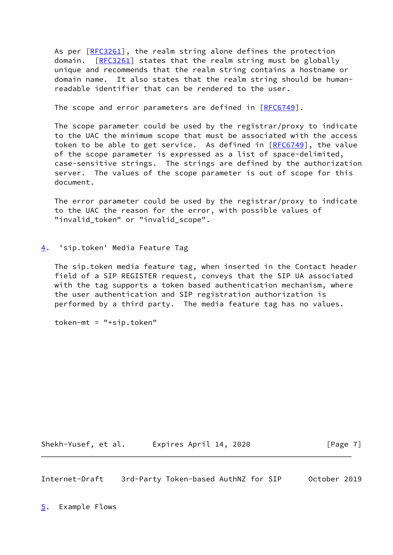As per [\[RFC3261](https://datatracker.ietf.org/doc/pdf/rfc3261)], the realm string alone defines the protection domain. [\[RFC3261](https://datatracker.ietf.org/doc/pdf/rfc3261)] states that the realm string must be globally unique and recommends that the realm string contains a hostname or domain name. It also states that the realm string should be human readable identifier that can be rendered to the user.

The scope and error parameters are defined in [[RFC6749](https://datatracker.ietf.org/doc/pdf/rfc6749)].

 The scope parameter could be used by the registrar/proxy to indicate to the UAC the minimum scope that must be associated with the access token to be able to get service. As defined in  $[RECG749]$ , the value of the scope parameter is expressed as a list of space-delimited, case-sensitive strings. The strings are defined by the authorization server. The values of the scope parameter is out of scope for this document.

 The error parameter could be used by the registrar/proxy to indicate to the UAC the reason for the error, with possible values of "invalid\_token" or "invalid\_scope".

<span id="page-7-0"></span>[4](#page-7-0). 'sip.token' Media Feature Tag

 The sip.token media feature tag, when inserted in the Contact header field of a SIP REGISTER request, conveys that the SIP UA associated with the tag supports a token based authentication mechanism, where the user authentication and SIP registration authorization is performed by a third party. The media feature tag has no values.

token-mt = "+sip.token"

Shekh-Yusef, et al. Expires April 14, 2020 [Page 7]

<span id="page-7-2"></span><span id="page-7-1"></span>Internet-Draft 3rd-Party Token-based AuthNZ for SIP October 2019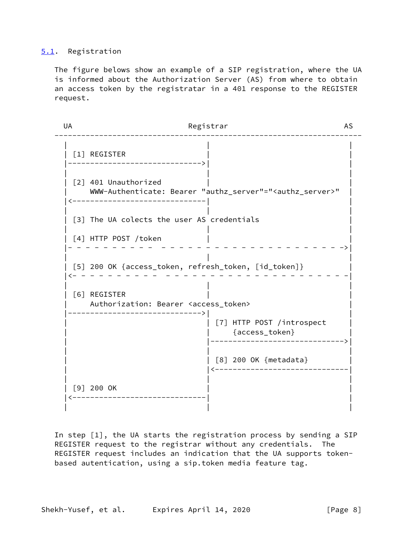# <span id="page-8-0"></span>[5.1](#page-8-0). Registration

 The figure belows show an example of a SIP registration, where the UA is informed about the Authorization Server (AS) from where to obtain an access token by the registratar in a 401 response to the REGISTER request.

UA Registrar AS --------------------------------------------------------------------- | | | | [1] REGISTER |------------------------------>| | | | | | [2] 401 Unauthorized | WWW-Authenticate: Bearer "authz\_server"="<authz\_server>" | |<------------------------------| | | | | | [3] The UA colects the user AS credentials | | | [4] HTTP POST /token |- - - - - - - - - - - - - - - - - - - - - - - - - - - - - - ->| | | | | [5] 200 OK {access\_token, refresh\_token, [id\_token]} | |<- - - - - - - - - - - - - - - - - - - - - - - - - - - - - - -| | | | | [6] REGISTER | | Authorization: Bearer <access\_token> |------------------------------>| | | | [7] HTTP POST /introspect | | | {access\_token} | | |------------------------------>| | | | | | [8] 200 OK {metadata} | | |<------------------------------| | | | [9] 200 OK |<------------------------------| | | | |

 In step [1], the UA starts the registration process by sending a SIP REGISTER request to the registrar without any credentials. The REGISTER request includes an indication that the UA supports token based autentication, using a sip.token media feature tag.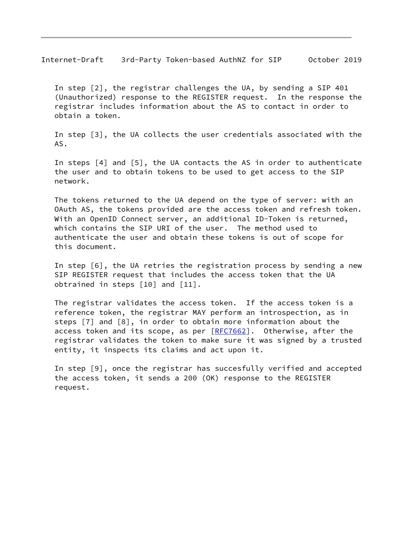Internet-Draft 3rd-Party Token-based AuthNZ for SIP October 2019

 In step [2], the registrar challenges the UA, by sending a SIP 401 (Unauthorized) response to the REGISTER request. In the response the registrar includes information about the AS to contact in order to obtain a token.

 In step [3], the UA collects the user credentials associated with the AS.

 In steps [4] and [5], the UA contacts the AS in order to authenticate the user and to obtain tokens to be used to get access to the SIP network.

 The tokens returned to the UA depend on the type of server: with an OAuth AS, the tokens provided are the access token and refresh token. With an OpenID Connect server, an additional ID-Token is returned, which contains the SIP URI of the user. The method used to authenticate the user and obtain these tokens is out of scope for this document.

 In step [6], the UA retries the registration process by sending a new SIP REGISTER request that includes the access token that the UA obtrained in steps [10] and [11].

 The registrar validates the access token. If the access token is a reference token, the registrar MAY perform an introspection, as in steps [7] and [8], in order to obtain more information about the access token and its scope, as per  $[REC7662]$ . Otherwise, after the registrar validates the token to make sure it was signed by a trusted entity, it inspects its claims and act upon it.

 In step [9], once the registrar has succesfully verified and accepted the access token, it sends a 200 (OK) response to the REGISTER request.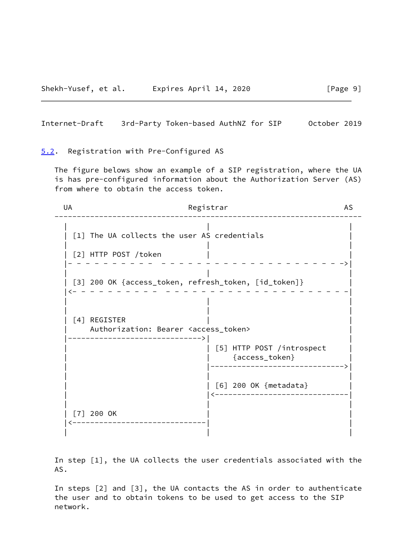<span id="page-10-1"></span>Internet-Draft 3rd-Party Token-based AuthNZ for SIP October 2019

<span id="page-10-0"></span>[5.2](#page-10-0). Registration with Pre-Configured AS

 The figure belows show an example of a SIP registration, where the UA is has pre-configured information about the Authorization Server (AS) from where to obtain the access token.

UA Registrar AS --------------------------------------------------------------------- | | | | [1] The UA collects the user AS credentials | | | | [2] HTTP POST /token |- - - - - - - - - - - - - - - - - - - - - - - - - - - - - - ->| | | | | [3] 200 OK {access\_token, refresh\_token, [id\_token]} | |<- - - - - - - - - - - - - - - - - - - - - - - - - - - - - - -| | | | | | | | [4] REGISTER Authorization: Bearer <access\_token> |------------------------------>| | [5] HTTP POST /introspect | | {access\_token} | | |------------------------------>| | | | | | [6] 200 OK {metadata} | | |<------------------------------| | | | | [7] 200 OK |<------------------------------| | | | |

 In step [1], the UA collects the user credentials associated with the AS.

 In steps [2] and [3], the UA contacts the AS in order to authenticate the user and to obtain tokens to be used to get access to the SIP network.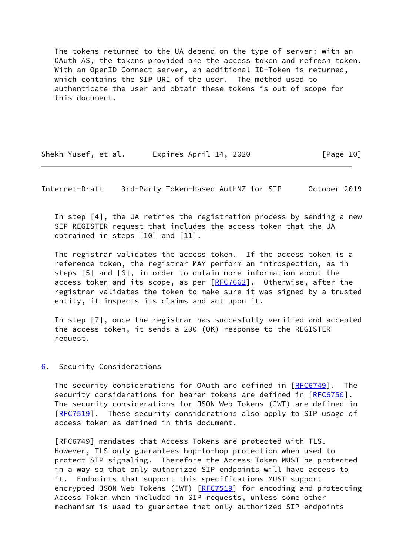The tokens returned to the UA depend on the type of server: with an OAuth AS, the tokens provided are the access token and refresh token. With an OpenID Connect server, an additional ID-Token is returned, which contains the SIP URI of the user. The method used to authenticate the user and obtain these tokens is out of scope for this document.

| Shekh-Yusef, et al. | Expires April 14, 2020 | [Page 10] |
|---------------------|------------------------|-----------|
|---------------------|------------------------|-----------|

<span id="page-11-1"></span>Internet-Draft 3rd-Party Token-based AuthNZ for SIP October 2019

 In step [4], the UA retries the registration process by sending a new SIP REGISTER request that includes the access token that the UA obtrained in steps [10] and [11].

 The registrar validates the access token. If the access token is a reference token, the registrar MAY perform an introspection, as in steps [5] and [6], in order to obtain more information about the access token and its scope, as per [[RFC7662\]](https://datatracker.ietf.org/doc/pdf/rfc7662). Otherwise, after the registrar validates the token to make sure it was signed by a trusted entity, it inspects its claims and act upon it.

 In step [7], once the registrar has succesfully verified and accepted the access token, it sends a 200 (OK) response to the REGISTER request.

# <span id="page-11-0"></span>[6](#page-11-0). Security Considerations

The security considerations for OAuth are defined in [\[RFC6749](https://datatracker.ietf.org/doc/pdf/rfc6749)]. The security considerations for bearer tokens are defined in [\[RFC6750](https://datatracker.ietf.org/doc/pdf/rfc6750)]. The security considerations for JSON Web Tokens (JWT) are defined in [\[RFC7519](https://datatracker.ietf.org/doc/pdf/rfc7519)]. These security considerations also apply to SIP usage of access token as defined in this document.

 [RFC6749] mandates that Access Tokens are protected with TLS. However, TLS only guarantees hop-to-hop protection when used to protect SIP signaling. Therefore the Access Token MUST be protected in a way so that only authorized SIP endpoints will have access to it. Endpoints that support this specifications MUST support encrypted JSON Web Tokens (JWT) [\[RFC7519](https://datatracker.ietf.org/doc/pdf/rfc7519)] for encoding and protecting Access Token when included in SIP requests, unless some other mechanism is used to guarantee that only authorized SIP endpoints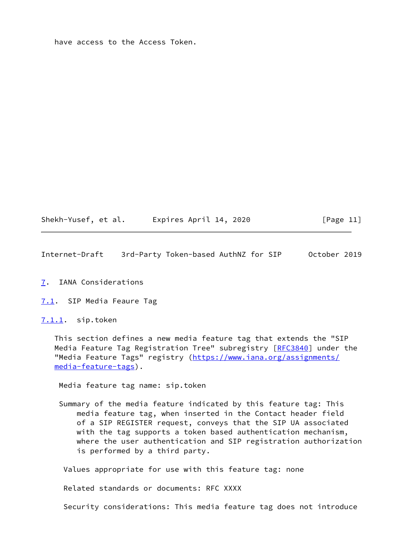have access to the Access Token.

Shekh-Yusef, et al. Expires April 14, 2020 [Page 11]

<span id="page-12-1"></span>Internet-Draft 3rd-Party Token-based AuthNZ for SIP October 2019

<span id="page-12-0"></span>[7](#page-12-0). IANA Considerations

<span id="page-12-2"></span>[7.1](#page-12-2). SIP Media Feaure Tag

<span id="page-12-3"></span>[7.1.1](#page-12-3). sip.token

 This section defines a new media feature tag that extends the "SIP Media Feature Tag Registration Tree" subregistry [\[RFC3840](https://datatracker.ietf.org/doc/pdf/rfc3840)] under the "Media Feature Tags" registry ([https://www.iana.org/assignments/](https://www.iana.org/assignments/media-feature-tags) [media-feature-tags](https://www.iana.org/assignments/media-feature-tags)).

Media feature tag name: sip.token

 Summary of the media feature indicated by this feature tag: This media feature tag, when inserted in the Contact header field of a SIP REGISTER request, conveys that the SIP UA associated with the tag supports a token based authentication mechanism, where the user authentication and SIP registration authorization is performed by a third party.

Values appropriate for use with this feature tag: none

Related standards or documents: RFC XXXX

Security considerations: This media feature tag does not introduce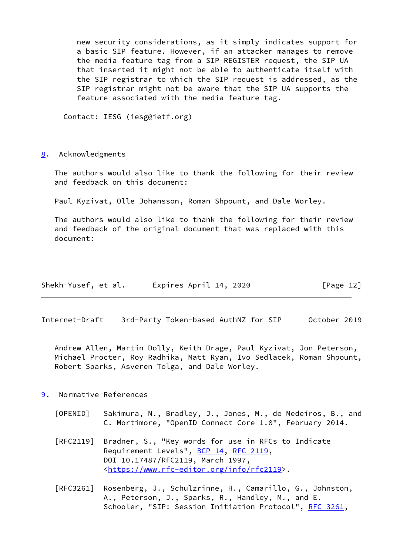new security considerations, as it simply indicates support for a basic SIP feature. However, if an attacker manages to remove the media feature tag from a SIP REGISTER request, the SIP UA that inserted it might not be able to authenticate itself with the SIP registrar to which the SIP request is addressed, as the SIP registrar might not be aware that the SIP UA supports the feature associated with the media feature tag.

Contact: IESG (iesg@ietf.org)

<span id="page-13-0"></span>[8](#page-13-0). Acknowledgments

 The authors would also like to thank the following for their review and feedback on this document:

Paul Kyzivat, Olle Johansson, Roman Shpount, and Dale Worley.

 The authors would also like to thank the following for their review and feedback of the original document that was replaced with this document:

| Shekh-Yusef, et al. | Expires April 14, 2020 | [Page 12] |
|---------------------|------------------------|-----------|
|---------------------|------------------------|-----------|

<span id="page-13-2"></span>Internet-Draft 3rd-Party Token-based AuthNZ for SIP October 2019

 Andrew Allen, Martin Dolly, Keith Drage, Paul Kyzivat, Jon Peterson, Michael Procter, Roy Radhika, Matt Ryan, Ivo Sedlacek, Roman Shpount, Robert Sparks, Asveren Tolga, and Dale Worley.

- <span id="page-13-3"></span><span id="page-13-1"></span>[9](#page-13-1). Normative References
	- [OPENID] Sakimura, N., Bradley, J., Jones, M., de Medeiros, B., and C. Mortimore, "OpenID Connect Core 1.0", February 2014.
	- [RFC2119] Bradner, S., "Key words for use in RFCs to Indicate Requirement Levels", [BCP 14](https://datatracker.ietf.org/doc/pdf/bcp14), [RFC 2119](https://datatracker.ietf.org/doc/pdf/rfc2119), DOI 10.17487/RFC2119, March 1997, <[https://www.rfc-editor.org/info/rfc2119>](https://www.rfc-editor.org/info/rfc2119).
	- [RFC3261] Rosenberg, J., Schulzrinne, H., Camarillo, G., Johnston, A., Peterson, J., Sparks, R., Handley, M., and E. Schooler, "SIP: Session Initiation Protocol", [RFC 3261](https://datatracker.ietf.org/doc/pdf/rfc3261),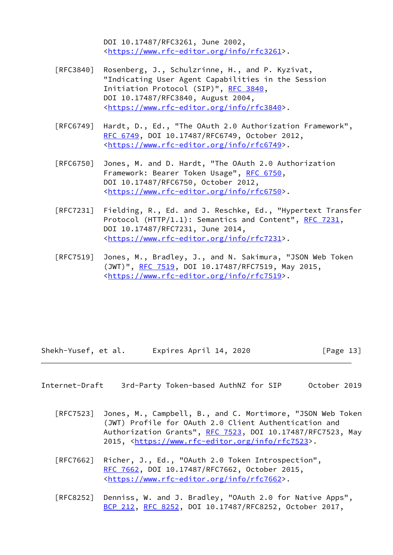DOI 10.17487/RFC3261, June 2002, <[https://www.rfc-editor.org/info/rfc3261>](https://www.rfc-editor.org/info/rfc3261).

- [RFC3840] Rosenberg, J., Schulzrinne, H., and P. Kyzivat, "Indicating User Agent Capabilities in the Session Initiation Protocol (SIP)", [RFC 3840,](https://datatracker.ietf.org/doc/pdf/rfc3840) DOI 10.17487/RFC3840, August 2004, <[https://www.rfc-editor.org/info/rfc3840>](https://www.rfc-editor.org/info/rfc3840).
- [RFC6749] Hardt, D., Ed., "The OAuth 2.0 Authorization Framework", [RFC 6749,](https://datatracker.ietf.org/doc/pdf/rfc6749) DOI 10.17487/RFC6749, October 2012, <[https://www.rfc-editor.org/info/rfc6749>](https://www.rfc-editor.org/info/rfc6749).
- [RFC6750] Jones, M. and D. Hardt, "The OAuth 2.0 Authorization Framework: Bearer Token Usage", [RFC 6750,](https://datatracker.ietf.org/doc/pdf/rfc6750) DOI 10.17487/RFC6750, October 2012, <[https://www.rfc-editor.org/info/rfc6750>](https://www.rfc-editor.org/info/rfc6750).
- [RFC7231] Fielding, R., Ed. and J. Reschke, Ed., "Hypertext Transfer Protocol (HTTP/1.1): Semantics and Content", [RFC 7231](https://datatracker.ietf.org/doc/pdf/rfc7231), DOI 10.17487/RFC7231, June 2014, <[https://www.rfc-editor.org/info/rfc7231>](https://www.rfc-editor.org/info/rfc7231).
- [RFC7519] Jones, M., Bradley, J., and N. Sakimura, "JSON Web Token (JWT)", [RFC 7519,](https://datatracker.ietf.org/doc/pdf/rfc7519) DOI 10.17487/RFC7519, May 2015, <[https://www.rfc-editor.org/info/rfc7519>](https://www.rfc-editor.org/info/rfc7519).

Shekh-Yusef, et al. Expires April 14, 2020 [Page 13]

<span id="page-14-0"></span>Internet-Draft 3rd-Party Token-based AuthNZ for SIP October 2019

- [RFC7523] Jones, M., Campbell, B., and C. Mortimore, "JSON Web Token (JWT) Profile for OAuth 2.0 Client Authentication and Authorization Grants", [RFC 7523](https://datatracker.ietf.org/doc/pdf/rfc7523), DOI 10.17487/RFC7523, May 2015, [<https://www.rfc-editor.org/info/rfc7523](https://www.rfc-editor.org/info/rfc7523)>.
- [RFC7662] Richer, J., Ed., "OAuth 2.0 Token Introspection", [RFC 7662,](https://datatracker.ietf.org/doc/pdf/rfc7662) DOI 10.17487/RFC7662, October 2015, <[https://www.rfc-editor.org/info/rfc7662>](https://www.rfc-editor.org/info/rfc7662).
- [RFC8252] Denniss, W. and J. Bradley, "OAuth 2.0 for Native Apps", [BCP 212](https://datatracker.ietf.org/doc/pdf/bcp212), [RFC 8252,](https://datatracker.ietf.org/doc/pdf/rfc8252) DOI 10.17487/RFC8252, October 2017,